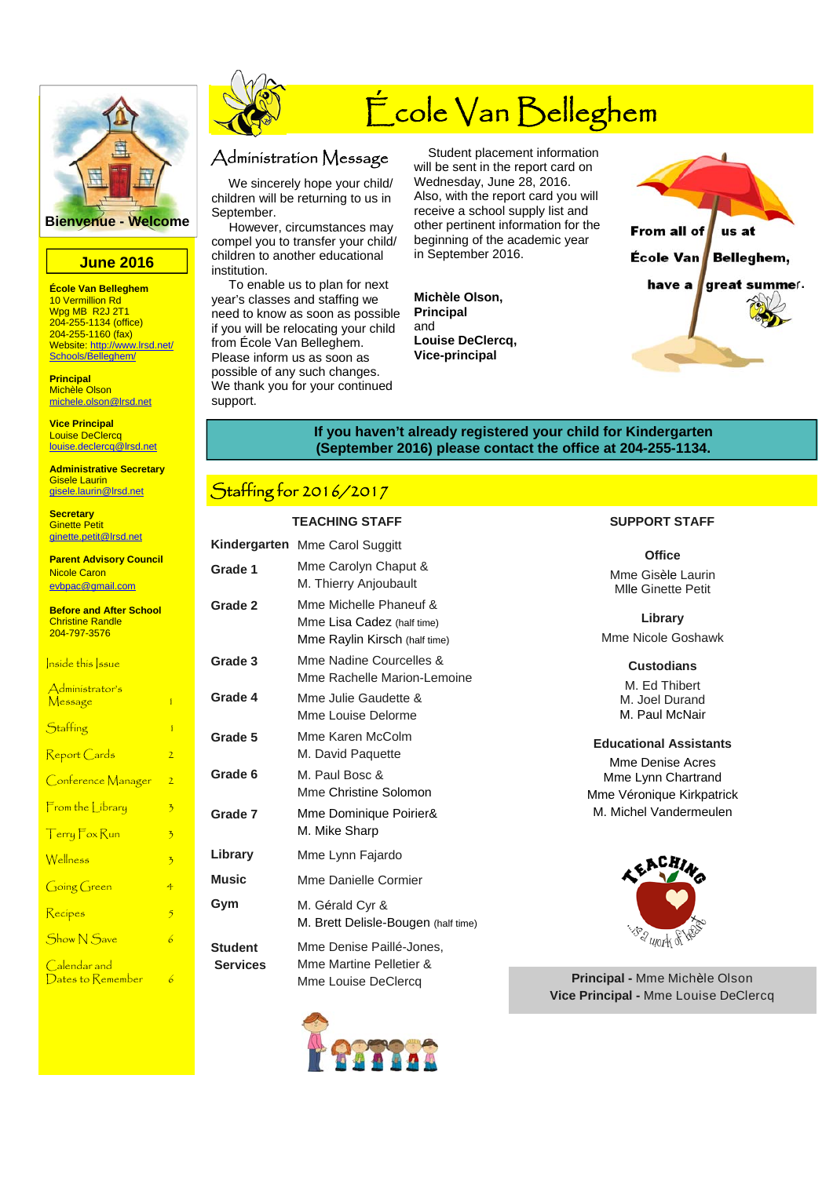

#### **June 2016**

**École Van Belleghem**  10 Vermillion Rd Wpg MB R2J 2T1 204-255-1134 (office) 204-255-1160 (fax) Website: http://www.lrsd.net/ Schools/Belleghem/

**Principal**  Michèle Olson michele.olson@lrsd.net

**Vice Principal**  Louise DeClercq louise.declercq@lrsd.net

**Administrative Secretary**  Gisele Laurin gisele.laurin@lrsd.net

**Secretary**  Ginette Petit ginette.petit@lrsd.net

**Parent Advisory Council**  Nicole Caron evbpac@gmail.com

**Before and After School**  Christine Randle 204-797-3576

| nside this ssue                   |                |
|-----------------------------------|----------------|
| Administrator's<br><u>Message</u> | ĭ              |
| Staffing                          | ĭ              |
| Report Cards                      | $\overline{2}$ |
| Conference Manager                | 2              |
| $\mathsf{From}$ the Library       | 3              |
| Terry Fox Run                     | 3              |
| Wellness                          | 3              |
| Going Green                       | $\overline{4}$ |
| Recipes                           | $\overline{5}$ |
| <b>Show N</b> Save                | 6              |
| Calendar and<br>Dates to Remember | b              |



# École Van Belleghem

### Administration Message

 We sincerely hope your child/ children will be returning to us in September.

 However, circumstances may compel you to transfer your child/ children to another educational institution.

 To enable us to plan for next year's classes and staffing we need to know as soon as possible if you will be relocating your child from École Van Belleghem. Please inform us as soon as possible of any such changes. We thank you for your continued support.

 Student placement information will be sent in the report card on Wednesday, June 28, 2016. Also, with the report card you will receive a school supply list and other pertinent information for the beginning of the academic year in September 2016.

**Michèle Olson, Principal**  and **Louise DeClercq, Vice-principal** 



#### **If you haven't already registered your child for Kindergarten (September 2016) please contact the office at 204-255-1134.**

## Staffing for 2016/2017

#### **TEACHING STAFF SUPPORT STAFF**

|                                   | Kindergarten Mme Carol Suggitt                                                        |  |  |  |
|-----------------------------------|---------------------------------------------------------------------------------------|--|--|--|
| Grade 1                           | Mme Carolyn Chaput &<br>M. Thierry Anjoubault                                         |  |  |  |
| Grade 2                           | Mme Michelle Phaneuf &<br>Mme Lisa Cadez (half time)<br>Mme Raylin Kirsch (half time) |  |  |  |
| Grade 3                           | Mme Nadine Courcelles &<br>Mme Rachelle Marion-Lemoine                                |  |  |  |
| Grade 4                           | Mme Julie Gaudette &<br>Mme Louise Delorme                                            |  |  |  |
| Grade 5                           | Mme Karen McColm<br>M. David Paquette                                                 |  |  |  |
| Grade 6                           | M. Paul Bosc &<br>Mme Christine Solomon                                               |  |  |  |
| Grade 7                           | Mme Dominique Poirier&<br>M. Mike Sharp                                               |  |  |  |
| Library                           | Mme Lynn Fajardo                                                                      |  |  |  |
| <b>Music</b>                      | Mme Danielle Cormier                                                                  |  |  |  |
| Gym                               | M. Gérald Cyr &<br>M. Brett Delisle-Bougen (half time)                                |  |  |  |
| <b>Student</b><br><b>Services</b> | Mme Denise Paillé-Jones,<br>Mme Martine Pelletier &<br>Mme Louise DeClercq            |  |  |  |



| ງ: <del>ງ</del>                                 | <b>Office</b>                                       |
|-------------------------------------------------|-----------------------------------------------------|
| ìhaput &<br>⊍bault                              | Mme Gisèle Laurin<br><b>MIle Ginette Petit</b>      |
| Phaneuf &<br>EZ (half time)<br>'SCh (half time) | Library<br>Mme Nicole Goshawk                       |
| ourcelles &<br>Marion-Lemoine                   | <b>Custodians</b><br>M. Ed Thibert                  |
| dette &<br>elorme                               | M. Joel Durand<br>M. Paul McNair                    |
| :Colm<br>ette                                   | <b>Educational Assistants</b>                       |
| Solomon                                         | Mme Denise Acres<br>Mme Lynn Chartrand              |
| e Poirier&                                      | Mme Véronique Kirkpatrick<br>M. Michel Vandermeulen |
| ardo                                            | EACHING                                             |
| Cormier                                         |                                                     |
| R.                                              |                                                     |

**Principal -** Mme Michèle Olson **Vice Principal -** Mme Louise DeClercq

**BR UJOTK SE**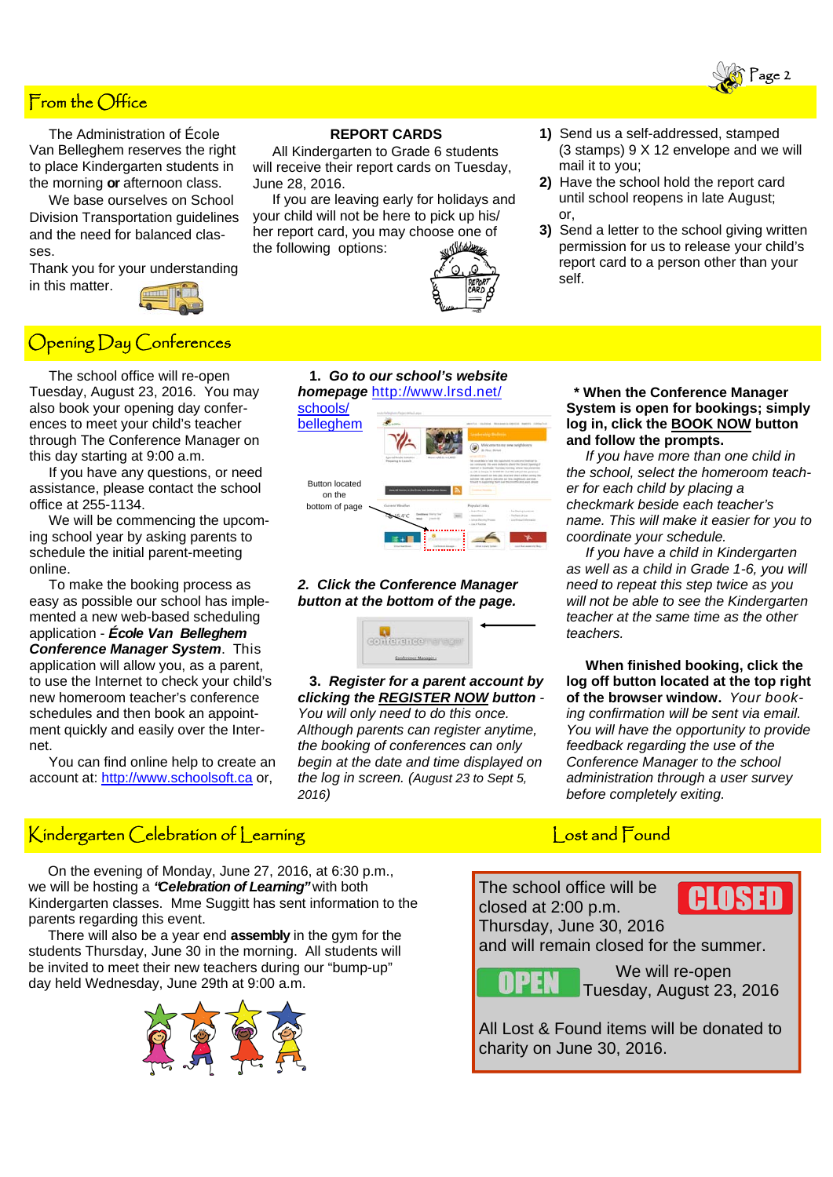### From the Office

 The Administration of École Van Belleghem reserves the right to place Kindergarten students in the morning **or** afternoon class.

 We base ourselves on School Division Transportation guidelines and the need for balanced classes.

Thank you for your understanding in this matter.

### Opening Day Conferences

 The school office will re-open Tuesday, August 23, 2016. You may also book your opening day conferences to meet your child's teacher through The Conference Manager on this day starting at 9:00 a.m.

 If you have any questions, or need assistance, please contact the school office at 255-1134.

 We will be commencing the upcoming school year by asking parents to schedule the initial parent-meeting online.

 To make the booking process as easy as possible our school has implemented a new web-based scheduling application - *École Van Belleghem* *Conference Manager System*. This application will allow you, as a parent, to use the Internet to check your child's new homeroom teacher's conference schedules and then book an appointment quickly and easily over the Internet.

 You can find online help to create an account at: http://www.schoolsoft.ca or,

### **REPORT CARDS**

 All Kindergarten to Grade 6 students will receive their report cards on Tuesday, June 28, 2016.

 If you are leaving early for holidays and your child will not be here to pick up his/ her report card, you may choose one of the following options:

> **1.** *Go to our school's website homepage* http://www.lrsd.net/

*2. Click the Conference Manager button at the bottom of the page.* 

**Q**<br>Contarancement

 **3.** *Register for a parent account by clicking the REGISTER NOW button - You will only need to do this once. Although parents can register anytime, the booking of conferences can only begin at the date and time displayed on the log in screen. (August 23 to Sept 5,* 

schools/ belleghem

> Button located on the bottom of page

*2016)* 



- **1)** Send us a self-addressed, stamped (3 stamps) 9 X 12 envelope and we will mail it to you;
- **2)** Have the school hold the report card until school reopens in late August; or,
- **3)** Send a letter to the school giving written permission for us to release your child's report card to a person other than your self.

#### **\* When the Conference Manager System is open for bookings; simply log in, click the BOOK NOW button and follow the prompts.**

 *If you have more than one child in the school, select the homeroom teacher for each child by placing a checkmark beside each teacher's name. This will make it easier for you to coordinate your schedule.* 

 *If you have a child in Kindergarten as well as a child in Grade 1-6, you will need to repeat this step twice as you will not be able to see the Kindergarten teacher at the same time as the other teachers.* 

 **When finished booking, click the log off button located at the top right of the browser window.** *Your booking confirmation will be sent via email. You will have the opportunity to provide feedback regarding the use of the Conference Manager to the school administration through a user survey before completely exiting.*

## Kindergarten Celebration of Learning Lost and Found

 On the evening of Monday, June 27, 2016, at 6:30 p.m., we will be hosting a *"Celebration of Learning"*with both Kindergarten classes. Mme Suggitt has sent information to the parents regarding this event.

 There will also be a year end **assembly** in the gym for the students Thursday, June 30 in the morning. All students will be invited to meet their new teachers during our "bump-up" day held Wednesday, June 29th at 9:00 a.m.



The school office will be closed at 2:00 p.m. Thursday, June 30, 2016

and will remain closed for the summer.

EN T

 We will re-open Tuesday, August 23, 2016

All Lost & Found items will be donated to charity on June 30, 2016.

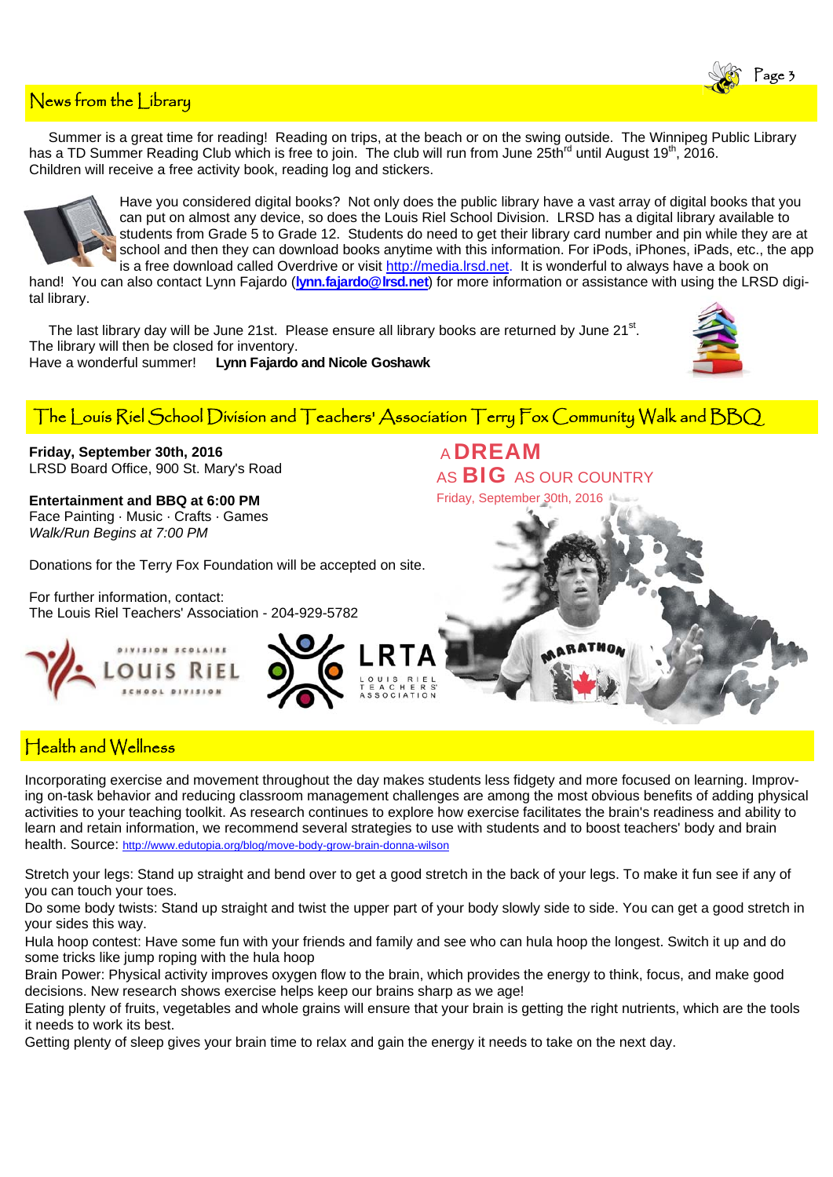

Summer is a great time for reading! Reading on trips, at the beach or on the swing outside. The Winnipeg Public Library has a TD Summer Reading Club which is free to join. The club will run from June 25th<sup>rd</sup> until August 19<sup>th</sup>, 2016. Children will receive a free activity book, reading log and stickers.



Have you considered digital books? Not only does the public library have a vast array of digital books that you can put on almost any device, so does the Louis Riel School Division. LRSD has a digital library available to students from Grade 5 to Grade 12. Students do need to get their library card number and pin while they are at school and then they can download books anytime with this information. For iPods, iPhones, iPads, etc., the app is a free download called Overdrive or visit http://media.lrsd.net. It is wonderful to always have a book on

hand! You can also contact Lynn Fajardo (**lynn.fajardo@lrsd.net**) for more information or assistance with using the LRSD digital library.

The last library day will be June 21st. Please ensure all library books are returned by June 21<sup>st</sup>. The library will then be closed for inventory. Have a wonderful summer! **Lynn Fajardo and Nicole Goshawk**



Page 3

The Louis Riel School Division and Teachers' Association Terry Fox Community Walk and BBQ

**Friday, September 30th, 2016**  LRSD Board Office, 900 St. Mary's Road

**Entertainment and BBQ at 6:00 PM**  Face Painting · Music · Crafts · Games *Walk/Run Begins at 7:00 PM* 

Donations for the Terry Fox Foundation will be accepted on site.

For further information, contact: The Louis Riel Teachers' Association - 204-929-5782





<sup>A</sup>DREAM AS **BIG** AS OUR COUNTRY



### Health and Wellness

Incorporating exercise and movement throughout the day makes students less fidgety and more focused on learning. Improving on-task behavior and reducing classroom management challenges are among the most obvious benefits of adding physical activities to your teaching toolkit. As research continues to explore how exercise facilitates the brain's readiness and ability to learn and retain information, we recommend several strategies to use with students and to boost teachers' body and brain health. Source: http://www.edutopia.org/blog/move-body-grow-brain-donna-wilson

Stretch your legs: Stand up straight and bend over to get a good stretch in the back of your legs. To make it fun see if any of you can touch your toes.

Do some body twists: Stand up straight and twist the upper part of your body slowly side to side. You can get a good stretch in your sides this way.

Hula hoop contest: Have some fun with your friends and family and see who can hula hoop the longest. Switch it up and do some tricks like jump roping with the hula hoop

Brain Power: Physical activity improves oxygen flow to the brain, which provides the energy to think, focus, and make good decisions. New research shows exercise helps keep our brains sharp as we age!

Eating plenty of fruits, vegetables and whole grains will ensure that your brain is getting the right nutrients, which are the tools it needs to work its best.

Getting plenty of sleep gives your brain time to relax and gain the energy it needs to take on the next day.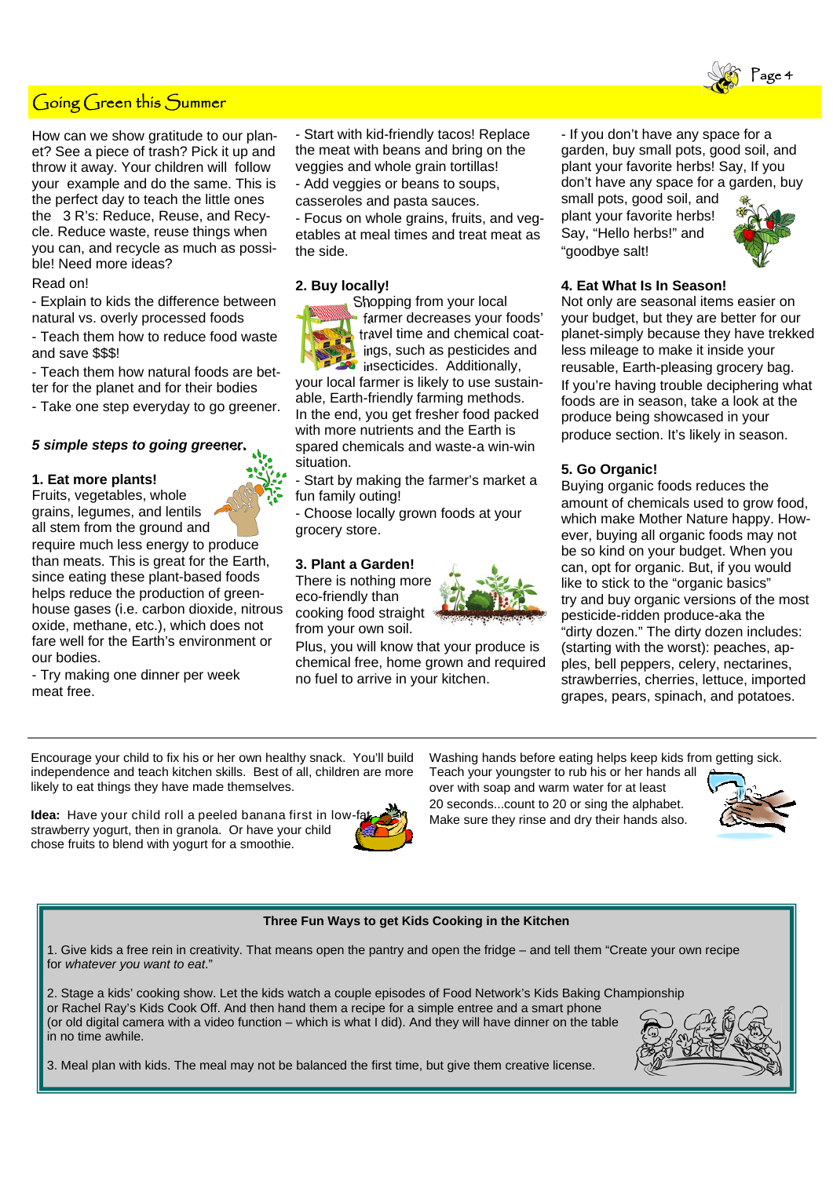### Going Green this Summer

How can we show gratitude to our planet? See a piece of trash? Pick it up and throw it away. Your children will follow your example and do the same. This is the perfect day to teach the little ones the 3 R's: Reduce, Reuse, and Recycle. Reduce waste, reuse things when you can, and recycle as much as possible! Need more ideas?

#### Read on!

- Explain to kids the difference between natural vs. overly processed foods

- Teach them how to reduce food waste and save \$\$\$!

- Teach them how natural foods are better for the planet and for their bodies

- Take one step everyday to go greener.

#### *5 simple steps to going greener.*

#### **1. Eat more plants!**

Fruits, vegetables, whole grains, legumes, and lentils all stem from the ground and require much less energy to produce than meats. This is great for the Earth, since eating these plant-based foods helps reduce the production of greenhouse gases (i.e. carbon dioxide, nitrous oxide, methane, etc.), which does not fare well for the Earth's environment or our bodies.

- Try making one dinner per week meat free.

- Start with kid-friendly tacos! Replace the meat with beans and bring on the veggies and whole grain tortillas!

- Add veggies or beans to soups,

casseroles and pasta sauces.

- Focus on whole grains, fruits, and vegetables at meal times and treat meat as the side.

#### **2. Buy locally!**

Shopping from your local farmer decreases your foods' travel time and chemical coatings, such as pesticides and *i* insecticides. Additionally,

your local farmer is likely to use sustainable, Earth-friendly farming methods. In the end, you get fresher food packed with more nutrients and the Earth is spared chemicals and waste-a win-win situation.

Start by making the farmer's market a fun family outing!

- Choose locally grown foods at your grocery store.

#### **3. Plant a Garden!**

There is nothing more eco-friendly than cooking food straight from your own soil.

Plus, you will know that your produce is chemical free, home grown and required no fuel to arrive in your kitchen.

- If you don't have any space for a garden, buy small pots, good soil, and plant your favorite herbs! Say, If you don't have any space for a garden, buy small pots, good soil, and

plant your favorite herbs! Say, "Hello herbs!" and "goodbye salt!



,<br>age 4

#### **4. Eat What Is In Season!**

Not only are seasonal items easier on your budget, but they are better for our planet-simply because they have trekked less mileage to make it inside your reusable, Earth-pleasing grocery bag. If you're having trouble deciphering what foods are in season, take a look at the produce being showcased in your produce section. It's likely in season.

#### **5. Go Organic!**

Buying organic foods reduces the amount of chemicals used to grow food, which make Mother Nature happy. However, buying all organic foods may not be so kind on your budget. When you can, opt for organic. But, if you would like to stick to the "organic basics" try and buy organic versions of the most pesticide-ridden produce-aka the "dirty dozen." The dirty dozen includes: (starting with the worst): peaches, apples, bell peppers, celery, nectarines, strawberries, cherries, lettuce, imported grapes, pears, spinach, and potatoes.

Encourage your child to fix his or her own healthy snack. You'll build independence and teach kitchen skills. Best of all, children are more likely to eat things they have made themselves.

**Idea:** Have your child roll a peeled banana first in lowstrawberry yogurt, then in granola. Or have your child chose fruits to blend with yogurt for a smoothie.



Washing hands before eating helps keep kids from getting sick.

Teach your youngster to rub his or her hands all over with soap and warm water for at least 20 seconds...count to 20 or sing the alphabet. Make sure they rinse and dry their hands also.



#### **Three Fun Ways to get Kids Cooking in the Kitchen**

1. Give kids a free rein in creativity. That means open the pantry and open the fridge – and tell them "Create your own recipe for *whatever you want to eat*."

2. Stage a kids' cooking show. Let the kids watch a couple episodes of Food Network's Kids Baking Championship or Rachel Ray's Kids Cook Off. And then hand them a recipe for a simple entree and a smart phone (or old digital camera with a video function – which is what I did). And they will have dinner on the table in no time awhile.



3. Meal plan with kids. The meal may not be balanced the first time, but give them creative license.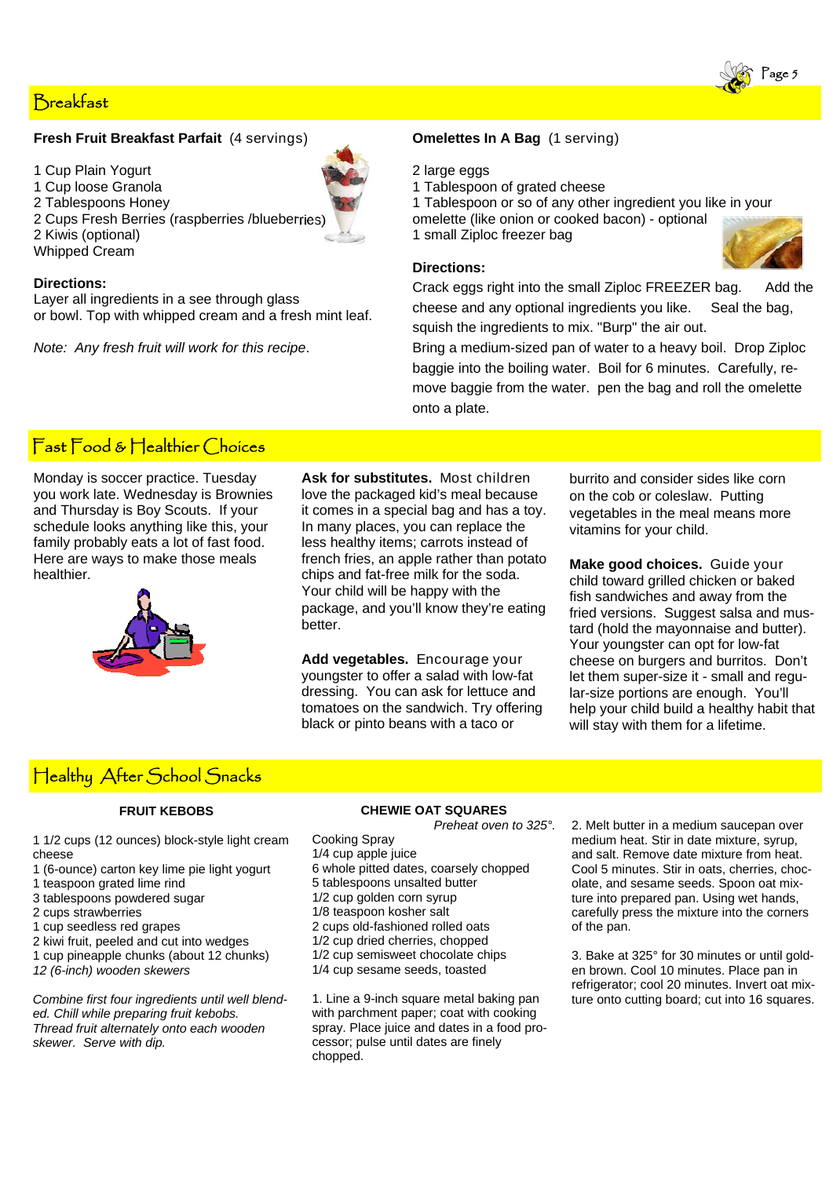### Breakfast

#### **Fresh Fruit Breakfast Parfait** (4 servings)

- 1 Cup Plain Yogurt
- 1 Cup loose Granola
- 2 Tablespoons Honey

2 Cups Fresh Berries (raspberries /blueberries) 2 Kiwis (optional) Whipped Cream

#### **Directions:**

Layer all ingredients in a see through glass or bowl. Top with whipped cream and a fresh mint leaf.

*Note: Any fresh fruit will work for this recipe*.

#### **Omelettes In A Bag** (1 serving)

#### 2 large eggs

1 Tablespoon of grated cheese

1 Tablespoon or so of any other ingredient you like in your omelette (like onion or cooked bacon) - optional 1 small Ziploc freezer bag

#### **Directions:**

Crack eggs right into the small Ziploc FREEZER bag. Add the cheese and any optional ingredients you like. Seal the bag, squish the ingredients to mix. "Burp" the air out.

Bring a medium-sized pan of water to a heavy boil. Drop Ziploc baggie into the boiling water. Boil for 6 minutes. Carefully, remove baggie from the water. pen the bag and roll the omelette onto a plate.

### Fast Food & Healthier Choices

Monday is soccer practice. Tuesday you work late. Wednesday is Brownies and Thursday is Boy Scouts. If your schedule looks anything like this, your family probably eats a lot of fast food. Here are ways to make those meals healthier.



**Ask for substitutes.** Most children love the packaged kid's meal because it comes in a special bag and has a toy. In many places, you can replace the less healthy items; carrots instead of french fries, an apple rather than potato chips and fat-free milk for the soda. Your child will be happy with the package, and you'll know they're eating better.

**Add vegetables.** Encourage your youngster to offer a salad with low-fat dressing. You can ask for lettuce and tomatoes on the sandwich. Try offering black or pinto beans with a taco or

burrito and consider sides like corn on the cob or coleslaw. Putting vegetables in the meal means more vitamins for your child.

**Make good choices.** Guide your child toward grilled chicken or baked fish sandwiches and away from the fried versions. Suggest salsa and mustard (hold the mayonnaise and butter). Your youngster can opt for low-fat cheese on burgers and burritos. Don't let them super-size it - small and regular-size portions are enough. You'll help your child build a healthy habit that will stay with them for a lifetime.

## Healthy After School Snacks

#### **FRUIT KEBOBS**

1 1/2 cups (12 ounces) block-style light cream cheese

- 1 (6-ounce) carton key lime pie light yogurt
- 1 teaspoon grated lime rind
- 3 tablespoons powdered sugar
- 2 cups strawberries
- 1 cup seedless red grapes
- 2 kiwi fruit, peeled and cut into wedges
- 1 cup pineapple chunks (about 12 chunks) *12 (6-inch) wooden skewers*

*Combine first four ingredients until well blended. Chill while preparing fruit kebobs. Thread fruit alternately onto each wooden skewer. Serve with dip.* 

#### **CHEWIE OAT SQUARES**  *Preheat oven to 325°.*

Cooking Spray

- 1/4 cup apple juice
- 6 whole pitted dates, coarsely chopped
- 5 tablespoons unsalted butter
- 1/2 cup golden corn syrup
- 1/8 teaspoon kosher salt
- 2 cups old-fashioned rolled oats
- 1/2 cup dried cherries, chopped
- 1/2 cup semisweet chocolate chips
- 1/4 cup sesame seeds, toasted

1. Line a 9-inch square metal baking pan with parchment paper; coat with cooking spray. Place juice and dates in a food processor; pulse until dates are finely chopped.

2. Melt butter in a medium saucepan over medium heat. Stir in date mixture, syrup, and salt. Remove date mixture from heat. Cool 5 minutes. Stir in oats, cherries, chocolate, and sesame seeds. Spoon oat mixture into prepared pan. Using wet hands, carefully press the mixture into the corners of the pan.

3. Bake at 325° for 30 minutes or until golden brown. Cool 10 minutes. Place pan in refrigerator; cool 20 minutes. Invert oat mixture onto cutting board; cut into 16 squares.